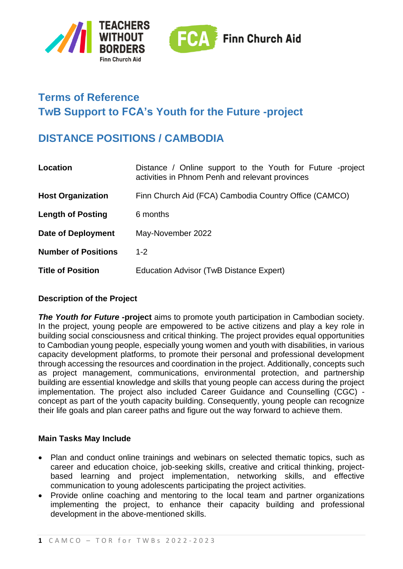



# **Terms of Reference TwB Support to FCA's Youth for the Future -project**

# **DISTANCE POSITIONS / CAMBODIA**

| Location                   | Distance / Online support to the Youth for Future -project<br>activities in Phnom Penh and relevant provinces |
|----------------------------|---------------------------------------------------------------------------------------------------------------|
| <b>Host Organization</b>   | Finn Church Aid (FCA) Cambodia Country Office (CAMCO)                                                         |
| <b>Length of Posting</b>   | 6 months                                                                                                      |
| <b>Date of Deployment</b>  | May-November 2022                                                                                             |
| <b>Number of Positions</b> | $1 - 2$                                                                                                       |
| <b>Title of Position</b>   | Education Advisor (TwB Distance Expert)                                                                       |

## **Description of the Project**

**The Youth for Future -project** aims to promote youth participation in Cambodian society. In the project, young people are empowered to be active citizens and play a key role in building social consciousness and critical thinking. The project provides equal opportunities to Cambodian young people, especially young women and youth with disabilities, in various capacity development platforms, to promote their personal and professional development through accessing the resources and coordination in the project. Additionally, concepts such as project management, communications, environmental protection, and partnership building are essential knowledge and skills that young people can access during the project implementation. The project also included Career Guidance and Counselling (CGC) concept as part of the youth capacity building. Consequently, young people can recognize their life goals and plan career paths and figure out the way forward to achieve them.

#### **Main Tasks May Include**

- Plan and conduct online trainings and webinars on selected thematic topics, such as career and education choice, job-seeking skills, creative and critical thinking, projectbased learning and project implementation, networking skills, and effective communication to young adolescents participating the project activities.
- Provide online coaching and mentoring to the local team and partner organizations implementing the project, to enhance their capacity building and professional development in the above-mentioned skills.